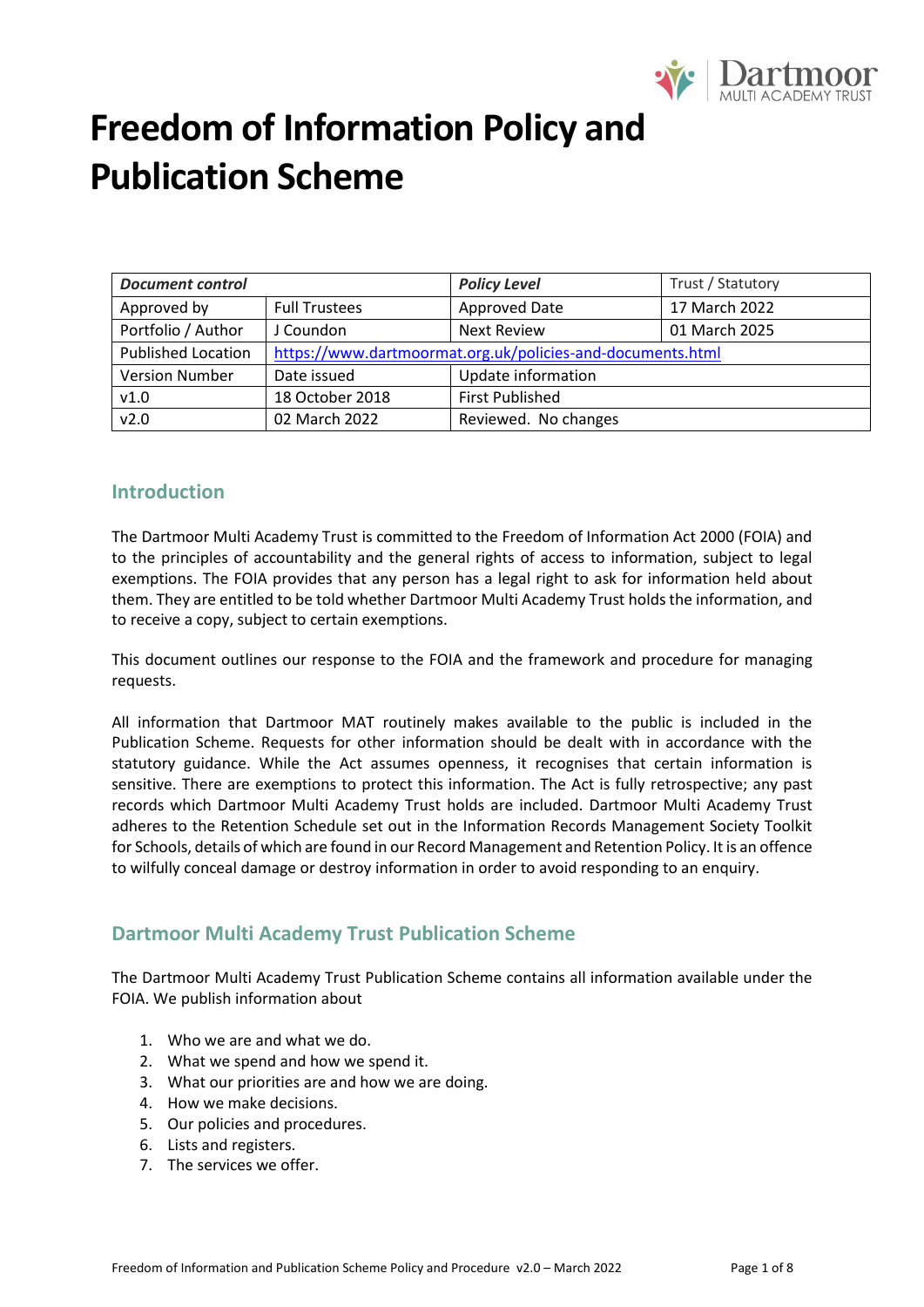

| <b>Document control</b><br><b>Policy Level</b> |                                                            |                    | Trust / Statutory |
|------------------------------------------------|------------------------------------------------------------|--------------------|-------------------|
| Approved by                                    | Approved Date<br><b>Full Trustees</b>                      |                    | 17 March 2022     |
| Portfolio / Author                             | J Coundon                                                  | <b>Next Review</b> | 01 March 2025     |
| <b>Published Location</b>                      | https://www.dartmoormat.org.uk/policies-and-documents.html |                    |                   |
| <b>Version Number</b>                          | Update information<br>Date issued                          |                    |                   |
| v1.0                                           | <b>First Published</b><br>18 October 2018                  |                    |                   |
| v2.0                                           | 02 March 2022<br>Reviewed. No changes                      |                    |                   |

### **Introduction**

The Dartmoor Multi Academy Trust is committed to the Freedom of Information Act 2000 (FOIA) and to the principles of accountability and the general rights of access to information, subject to legal exemptions. The FOIA provides that any person has a legal right to ask for information held about them. They are entitled to be told whether Dartmoor Multi Academy Trust holds the information, and to receive a copy, subject to certain exemptions.

This document outlines our response to the FOIA and the framework and procedure for managing requests.

All information that Dartmoor MAT routinely makes available to the public is included in the Publication Scheme. Requests for other information should be dealt with in accordance with the statutory guidance. While the Act assumes openness, it recognises that certain information is sensitive. There are exemptions to protect this information. The Act is fully retrospective; any past records which Dartmoor Multi Academy Trust holds are included. Dartmoor Multi Academy Trust adheres to the Retention Schedule set out in the Information Records Management Society Toolkit for Schools, details of which are found in our Record Management and Retention Policy. It is an offence to wilfully conceal damage or destroy information in order to avoid responding to an enquiry.

### **Dartmoor Multi Academy Trust Publication Scheme**

The Dartmoor Multi Academy Trust Publication Scheme contains all information available under the FOIA. We publish information about

- 1. Who we are and what we do.
- 2. What we spend and how we spend it.
- 3. What our priorities are and how we are doing.
- 4. How we make decisions.
- 5. Our policies and procedures.
- 6. Lists and registers.
- 7. The services we offer.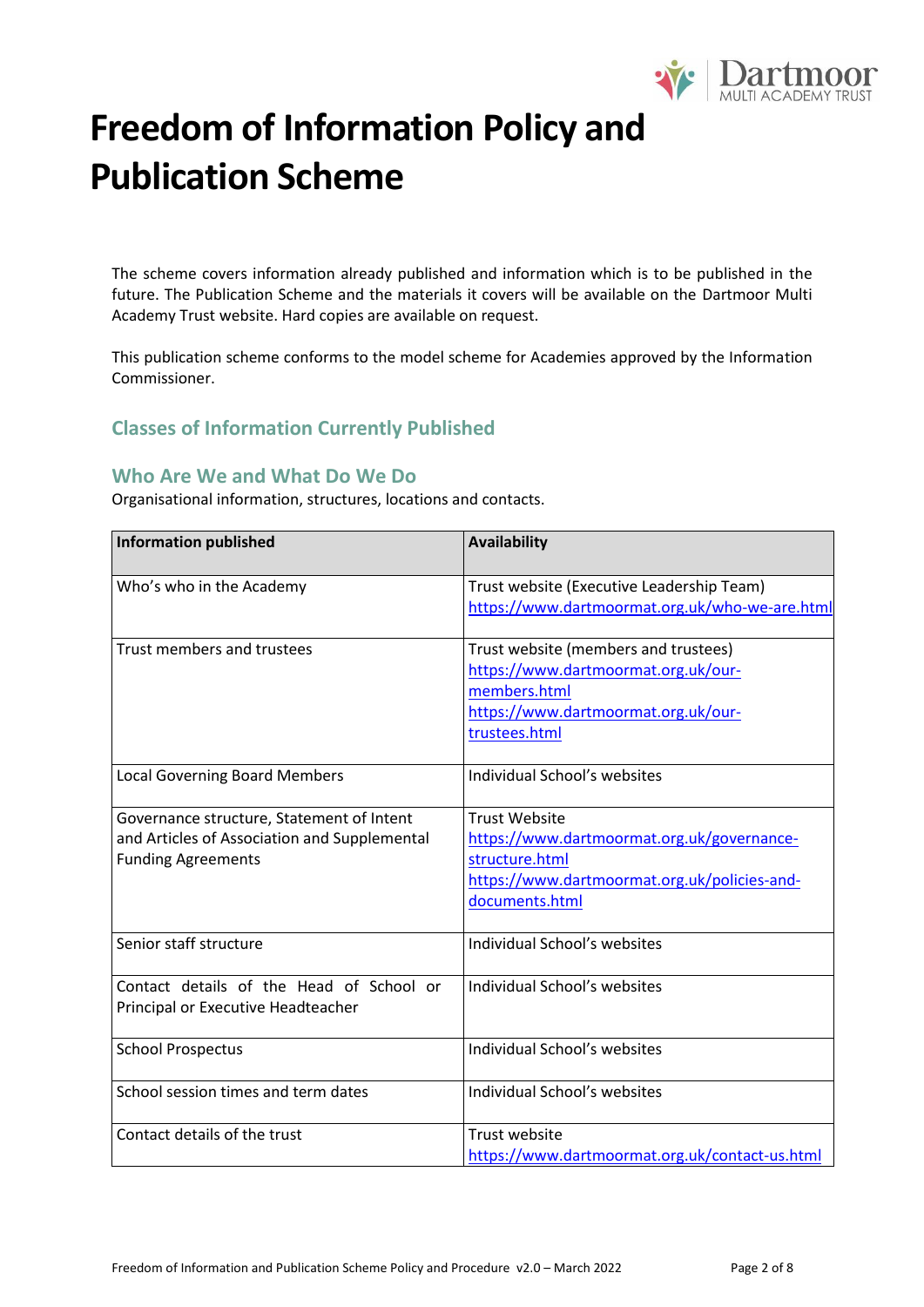

The scheme covers information already published and information which is to be published in the future. The Publication Scheme and the materials it covers will be available on the Dartmoor Multi Academy Trust website. Hard copies are available on request.

This publication scheme conforms to the model scheme for Academies approved by the Information Commissioner.

### **Classes of Information Currently Published**

### **Who Are We and What Do We Do**

Organisational information, structures, locations and contacts.

| <b>Information published</b>                 | <b>Availability</b>                            |
|----------------------------------------------|------------------------------------------------|
| Who's who in the Academy                     | Trust website (Executive Leadership Team)      |
|                                              | https://www.dartmoormat.org.uk/who-we-are.html |
|                                              |                                                |
| Trust members and trustees                   | Trust website (members and trustees)           |
|                                              | https://www.dartmoormat.org.uk/our-            |
|                                              | members.html                                   |
|                                              | https://www.dartmoormat.org.uk/our-            |
|                                              | trustees.html                                  |
| <b>Local Governing Board Members</b>         | Individual School's websites                   |
| Governance structure, Statement of Intent    | <b>Trust Website</b>                           |
| and Articles of Association and Supplemental | https://www.dartmoormat.org.uk/governance-     |
| <b>Funding Agreements</b>                    | structure.html                                 |
|                                              | https://www.dartmoormat.org.uk/policies-and-   |
|                                              | documents.html                                 |
| Senior staff structure                       | Individual School's websites                   |
| Contact details of the Head of School or     | Individual School's websites                   |
| Principal or Executive Headteacher           |                                                |
| <b>School Prospectus</b>                     | Individual School's websites                   |
| School session times and term dates          | Individual School's websites                   |
|                                              |                                                |
| Contact details of the trust                 | <b>Trust website</b>                           |
|                                              | https://www.dartmoormat.org.uk/contact-us.html |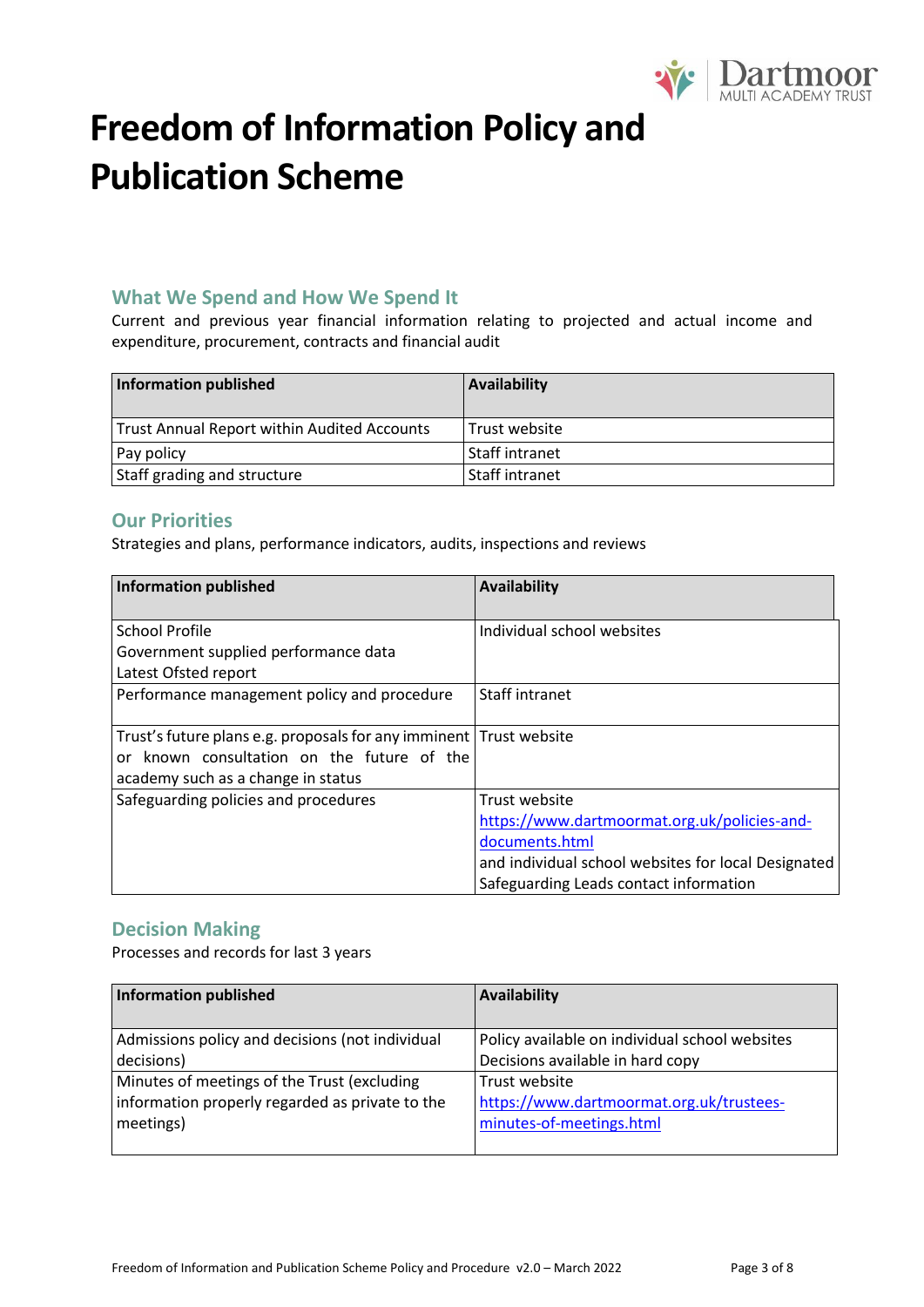

### **What We Spend and How We Spend It**

Current and previous year financial information relating to projected and actual income and expenditure, procurement, contracts and financial audit

| <b>Information published</b>                       | Availability   |
|----------------------------------------------------|----------------|
| <b>Trust Annual Report within Audited Accounts</b> | Trust website  |
| Pay policy                                         | Staff intranet |
| Staff grading and structure                        | Staff intranet |

### **Our Priorities**

Strategies and plans, performance indicators, audits, inspections and reviews

| <b>Information published</b>                                                                                                                           | <b>Availability</b>                                                                                                                                                              |
|--------------------------------------------------------------------------------------------------------------------------------------------------------|----------------------------------------------------------------------------------------------------------------------------------------------------------------------------------|
| <b>School Profile</b><br>Government supplied performance data                                                                                          | Individual school websites                                                                                                                                                       |
| Latest Ofsted report<br>Performance management policy and procedure                                                                                    | Staff intranet                                                                                                                                                                   |
| Trust's future plans e.g. proposals for any imminent Trust website<br>or known consultation on the future of the<br>academy such as a change in status |                                                                                                                                                                                  |
| Safeguarding policies and procedures                                                                                                                   | Trust website<br>https://www.dartmoormat.org.uk/policies-and-<br>documents.html<br>and individual school websites for local Designated<br>Safeguarding Leads contact information |

### **Decision Making**

Processes and records for last 3 years

| <b>Information published</b>                    | <b>Availability</b>                            |
|-------------------------------------------------|------------------------------------------------|
|                                                 |                                                |
| Admissions policy and decisions (not individual | Policy available on individual school websites |
| decisions)                                      | Decisions available in hard copy               |
| Minutes of meetings of the Trust (excluding     | Trust website                                  |
| information properly regarded as private to the | https://www.dartmoormat.org.uk/trustees-       |
| meetings)                                       | minutes-of-meetings.html                       |
|                                                 |                                                |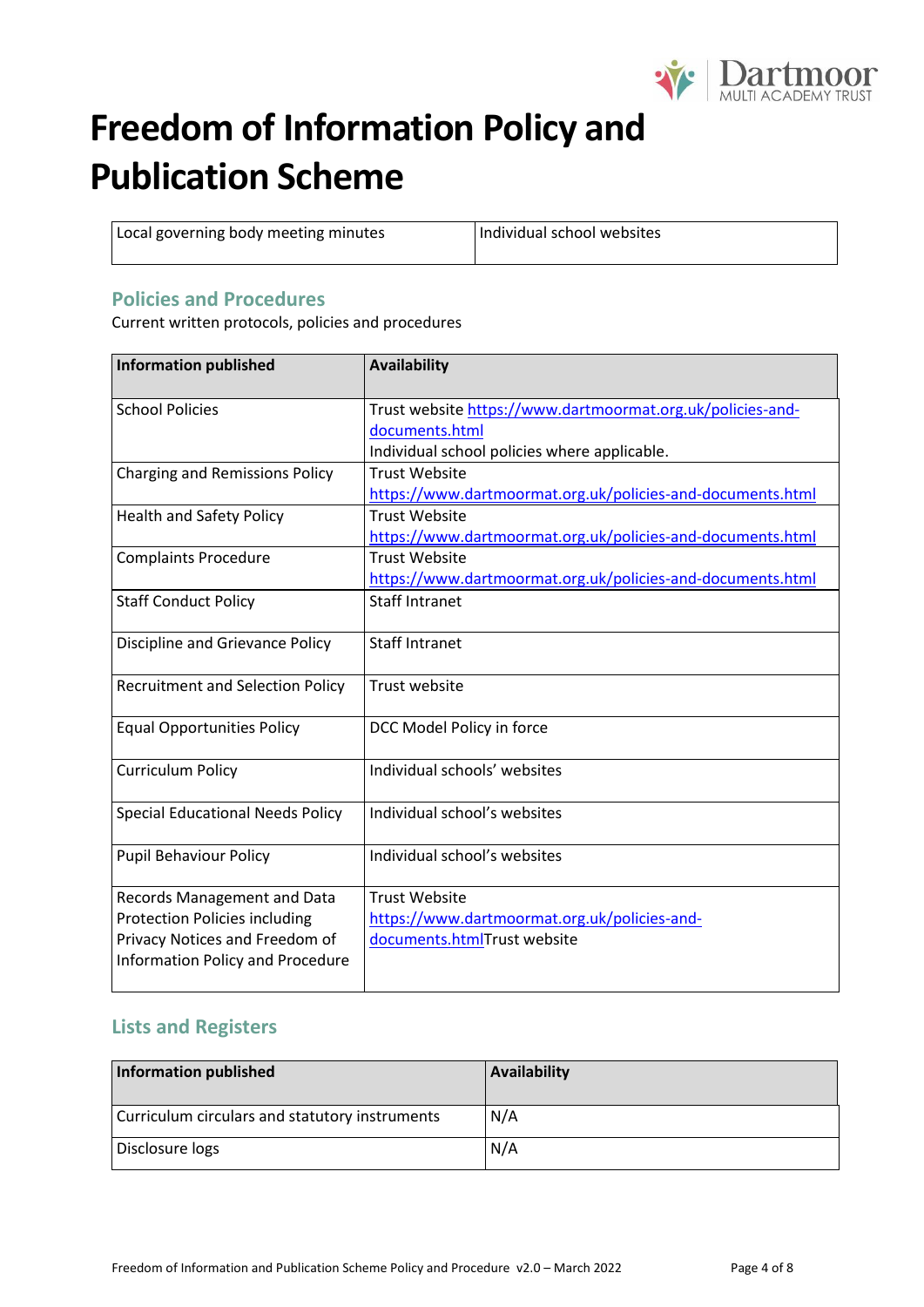

Local governing body meeting minutes | Individual school websites

### **Policies and Procedures**

Current written protocols, policies and procedures

| <b>Information published</b>            | <b>Availability</b>                                        |
|-----------------------------------------|------------------------------------------------------------|
| <b>School Policies</b>                  | Trust website https://www.dartmoormat.org.uk/policies-and- |
|                                         | documents.html                                             |
|                                         | Individual school policies where applicable.               |
| <b>Charging and Remissions Policy</b>   | <b>Trust Website</b>                                       |
|                                         | https://www.dartmoormat.org.uk/policies-and-documents.html |
| <b>Health and Safety Policy</b>         | <b>Trust Website</b>                                       |
|                                         | https://www.dartmoormat.org.uk/policies-and-documents.html |
| <b>Complaints Procedure</b>             | <b>Trust Website</b>                                       |
|                                         | https://www.dartmoormat.org.uk/policies-and-documents.html |
| <b>Staff Conduct Policy</b>             | <b>Staff Intranet</b>                                      |
| Discipline and Grievance Policy         | <b>Staff Intranet</b>                                      |
| <b>Recruitment and Selection Policy</b> | Trust website                                              |
| <b>Equal Opportunities Policy</b>       | DCC Model Policy in force                                  |
| <b>Curriculum Policy</b>                | Individual schools' websites                               |
| <b>Special Educational Needs Policy</b> | Individual school's websites                               |
| <b>Pupil Behaviour Policy</b>           | Individual school's websites                               |
| Records Management and Data             | <b>Trust Website</b>                                       |
| <b>Protection Policies including</b>    | https://www.dartmoormat.org.uk/policies-and-               |
| Privacy Notices and Freedom of          | documents.htmlTrust website                                |
| <b>Information Policy and Procedure</b> |                                                            |
|                                         |                                                            |

## **Lists and Registers**

| Information published                          | Availability |
|------------------------------------------------|--------------|
| Curriculum circulars and statutory instruments | N/A          |
| Disclosure logs                                | N/A          |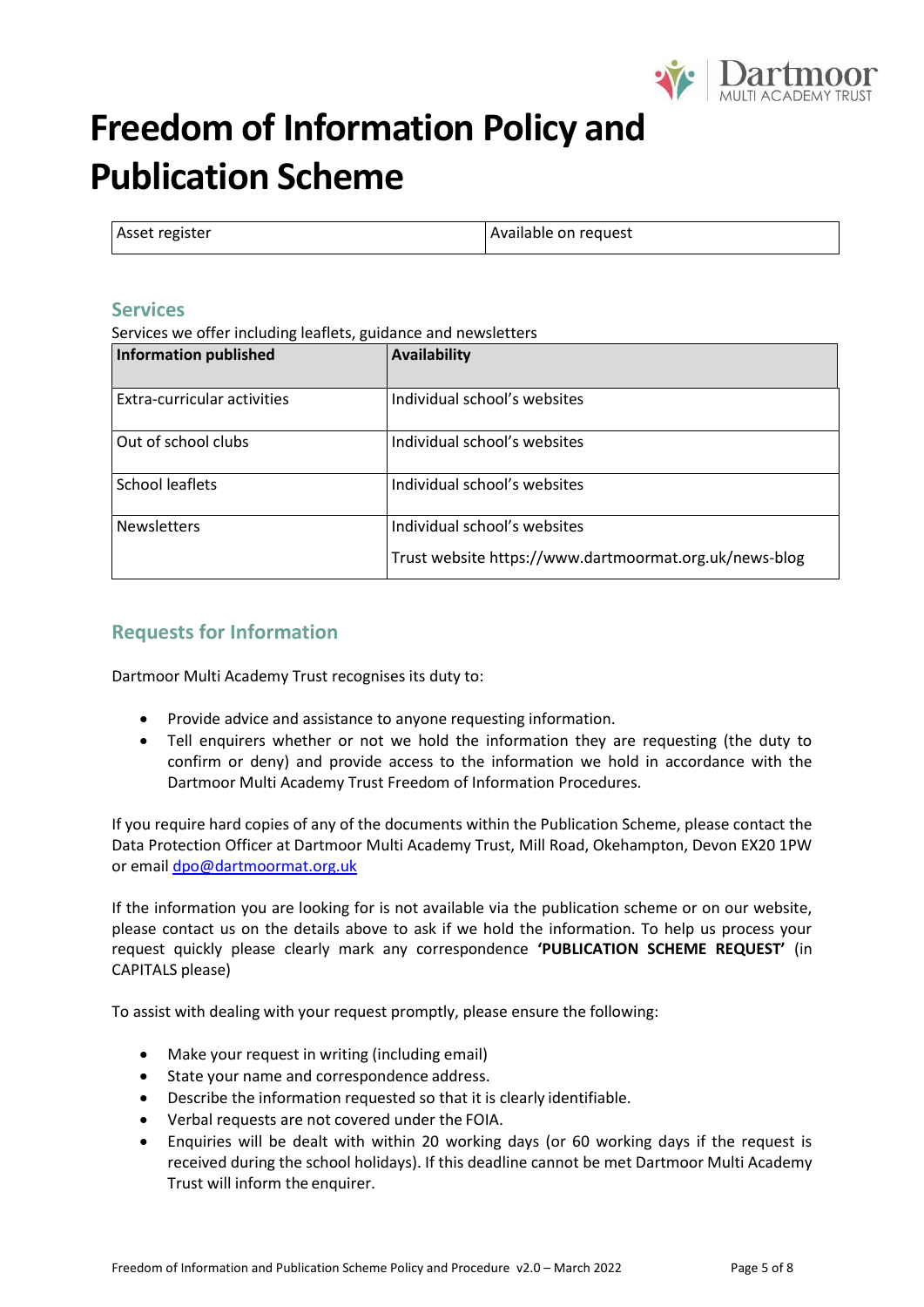

| Asset register | Available on request |
|----------------|----------------------|
|                |                      |

#### **Services**

Services we offer including leaflets, guidance and newsletters

| <b>Information published</b> | Availability                                           |
|------------------------------|--------------------------------------------------------|
| Extra-curricular activities  | Individual school's websites                           |
| Out of school clubs          | Individual school's websites                           |
| School leaflets              | Individual school's websites                           |
| <b>Newsletters</b>           | Individual school's websites                           |
|                              | Trust website https://www.dartmoormat.org.uk/news-blog |

### **Requests for Information**

Dartmoor Multi Academy Trust recognises its duty to:

- Provide advice and assistance to anyone requesting information.
- Tell enquirers whether or not we hold the information they are requesting (the duty to confirm or deny) and provide access to the information we hold in accordance with the Dartmoor Multi Academy Trust Freedom of Information Procedures.

If you require hard copies of any of the documents within the Publication Scheme, please contact the Data Protection Officer at Dartmoor Multi Academy Trust, Mill Road, Okehampton, Devon EX20 1PW or email [dpo@dartmoormat.org.uk](mailto:dpo@dartmoormat.org.uk)

If the information you are looking for is not available via the publication scheme or on our website, please contact us on the details above to ask if we hold the information. To help us process your request quickly please clearly mark any correspondence **'PUBLICATION SCHEME REQUEST'** (in CAPITALS please)

To assist with dealing with your request promptly, please ensure the following:

- Make your request in writing (including email)
- State your name and correspondence address.
- Describe the information requested so that it is clearly identifiable.
- Verbal requests are not covered under the FOIA.
- Enquiries will be dealt with within 20 working days (or 60 working days if the request is received during the school holidays). If this deadline cannot be met Dartmoor Multi Academy Trust will inform the enquirer.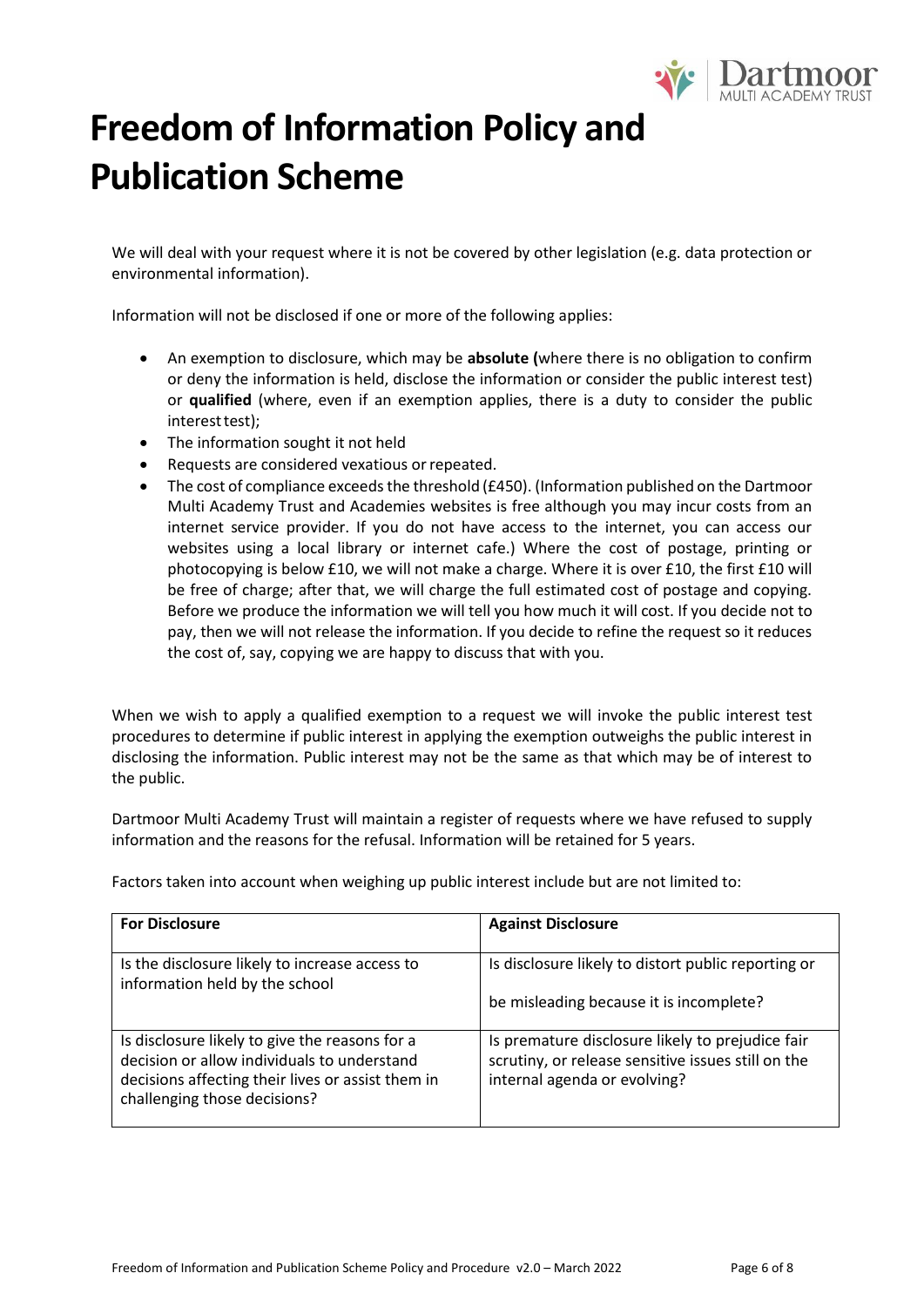

We will deal with your request where it is not be covered by other legislation (e.g. data protection or environmental information).

Information will not be disclosed if one or more of the following applies:

- An exemption to disclosure, which may be **absolute (**where there is no obligation to confirm or deny the information is held, disclose the information or consider the public interest test) or **qualified** (where, even if an exemption applies, there is a duty to consider the public interest test);
- The information sought it not held
- Requests are considered vexatious or repeated.
- The cost of compliance exceeds the threshold (£450). (Information published on the Dartmoor Multi Academy Trust and Academies websites is free although you may incur costs from an internet service provider. If you do not have access to the internet, you can access our websites using a local library or internet cafe.) Where the cost of postage, printing or photocopying is below £10, we will not make a charge. Where it is over £10, the first £10 will be free of charge; after that, we will charge the full estimated cost of postage and copying. Before we produce the information we will tell you how much it will cost. If you decide not to pay, then we will not release the information. If you decide to refine the request so it reduces the cost of, say, copying we are happy to discuss that with you.

When we wish to apply a qualified exemption to a request we will invoke the public interest test procedures to determine if public interest in applying the exemption outweighs the public interest in disclosing the information. Public interest may not be the same as that which may be of interest to the public.

Dartmoor Multi Academy Trust will maintain a register of requests where we have refused to supply information and the reasons for the refusal. Information will be retained for 5 years.

Factors taken into account when weighing up public interest include but are not limited to:

| <b>For Disclosure</b>                                                                                                                                                              | <b>Against Disclosure</b>                                                                                                              |
|------------------------------------------------------------------------------------------------------------------------------------------------------------------------------------|----------------------------------------------------------------------------------------------------------------------------------------|
| Is the disclosure likely to increase access to<br>information held by the school                                                                                                   | Is disclosure likely to distort public reporting or                                                                                    |
|                                                                                                                                                                                    | be misleading because it is incomplete?                                                                                                |
| Is disclosure likely to give the reasons for a<br>decision or allow individuals to understand<br>decisions affecting their lives or assist them in<br>challenging those decisions? | Is premature disclosure likely to prejudice fair<br>scrutiny, or release sensitive issues still on the<br>internal agenda or evolving? |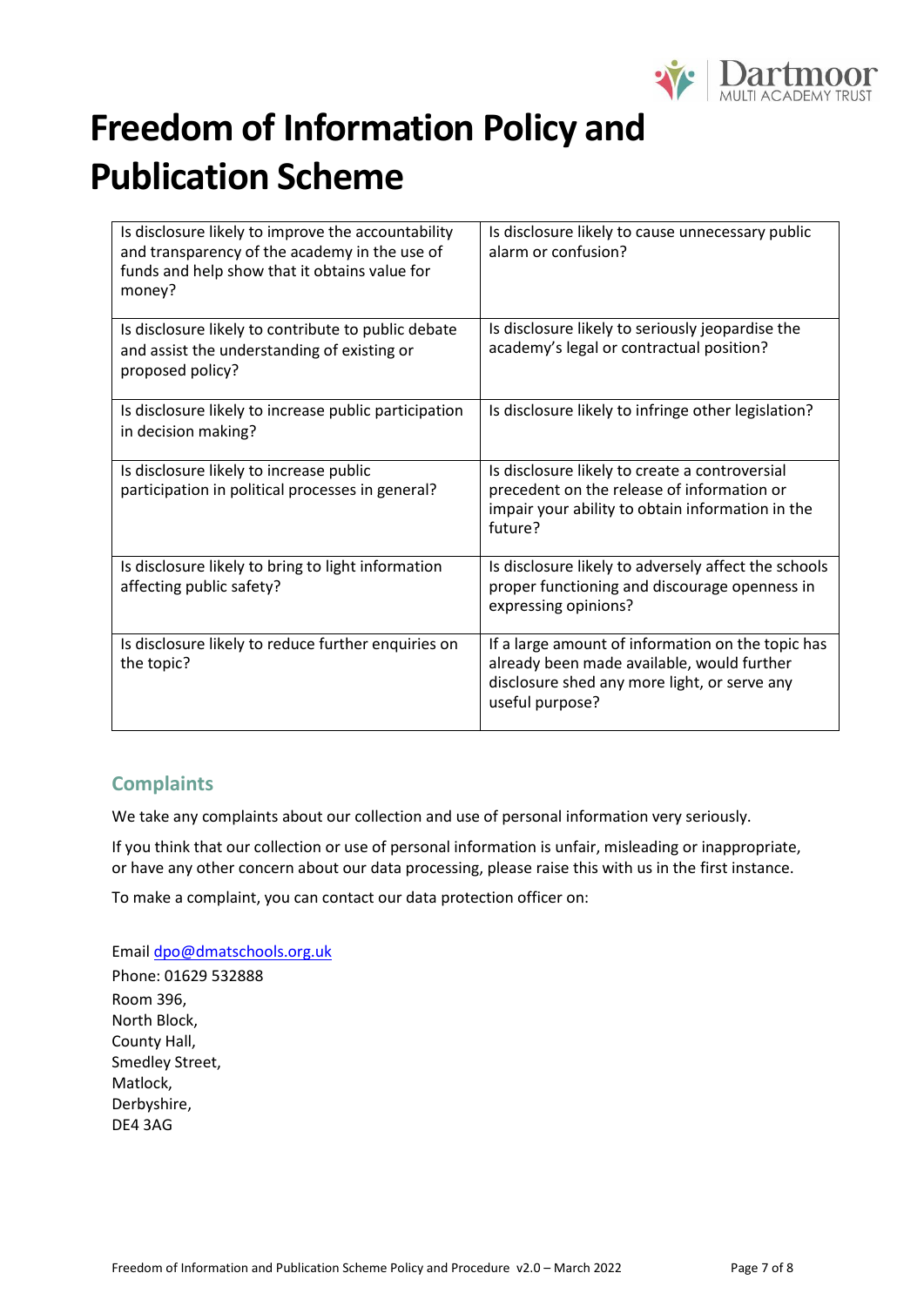

| Is disclosure likely to improve the accountability<br>and transparency of the academy in the use of<br>funds and help show that it obtains value for<br>money? | Is disclosure likely to cause unnecessary public<br>alarm or confusion?                                                                                            |
|----------------------------------------------------------------------------------------------------------------------------------------------------------------|--------------------------------------------------------------------------------------------------------------------------------------------------------------------|
| Is disclosure likely to contribute to public debate<br>and assist the understanding of existing or<br>proposed policy?                                         | Is disclosure likely to seriously jeopardise the<br>academy's legal or contractual position?                                                                       |
| Is disclosure likely to increase public participation<br>in decision making?                                                                                   | Is disclosure likely to infringe other legislation?                                                                                                                |
| Is disclosure likely to increase public<br>participation in political processes in general?                                                                    | Is disclosure likely to create a controversial<br>precedent on the release of information or<br>impair your ability to obtain information in the<br>future?        |
| Is disclosure likely to bring to light information<br>affecting public safety?                                                                                 | Is disclosure likely to adversely affect the schools<br>proper functioning and discourage openness in<br>expressing opinions?                                      |
| Is disclosure likely to reduce further enquiries on<br>the topic?                                                                                              | If a large amount of information on the topic has<br>already been made available, would further<br>disclosure shed any more light, or serve any<br>useful purpose? |

### **Complaints**

We take any complaints about our collection and use of personal information very seriously.

If you think that our collection or use of personal information is unfair, misleading or inappropriate, or have any other concern about our data processing, please raise this with us in the first instance.

To make a complaint, you can contact our data protection officer on:

Email [dpo@dmatschools.org.uk](mailto:dpo@dmatschools.org.uk) Phone: 01629 532888 Room 396, North Block, County Hall, Smedley Street, Matlock, Derbyshire, DE4 3AG